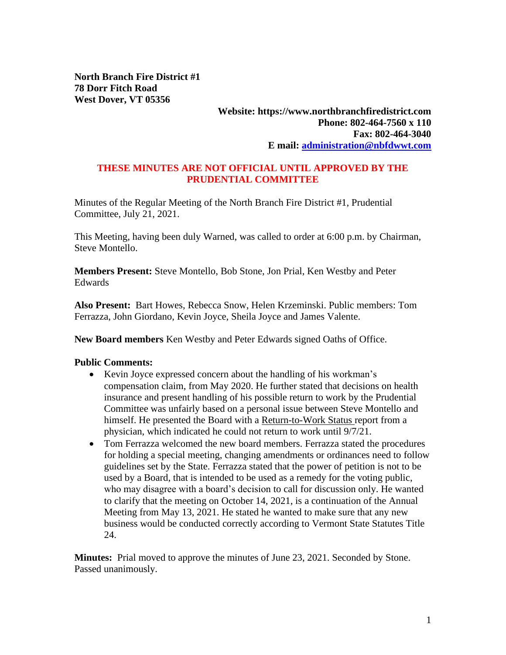**North Branch Fire District #1 78 Dorr Fitch Road West Dover, VT 05356**

### **Website: https://www.northbranchfiredistrict.com Phone: 802-464-7560 x 110 Fax: 802-464-3040 E mail: [administration@nbfdwwt.com](mailto:administration@nbfdwwt.com)**

### **THESE MINUTES ARE NOT OFFICIAL UNTIL APPROVED BY THE PRUDENTIAL COMMITTEE**

Minutes of the Regular Meeting of the North Branch Fire District #1, Prudential Committee, July 21, 2021.

This Meeting, having been duly Warned, was called to order at 6:00 p.m. by Chairman, Steve Montello.

**Members Present:** Steve Montello, Bob Stone, Jon Prial, Ken Westby and Peter Edwards

**Also Present:** Bart Howes, Rebecca Snow, Helen Krzeminski. Public members: Tom Ferrazza, John Giordano, Kevin Joyce, Sheila Joyce and James Valente.

**New Board members** Ken Westby and Peter Edwards signed Oaths of Office.

#### **Public Comments:**

- Kevin Joyce expressed concern about the handling of his workman's compensation claim, from May 2020. He further stated that decisions on health insurance and present handling of his possible return to work by the Prudential Committee was unfairly based on a personal issue between Steve Montello and himself. He presented the Board with a Return-to-Work Status report from a physician, which indicated he could not return to work until 9/7/21.
- Tom Ferrazza welcomed the new board members. Ferrazza stated the procedures for holding a special meeting, changing amendments or ordinances need to follow guidelines set by the State. Ferrazza stated that the power of petition is not to be used by a Board, that is intended to be used as a remedy for the voting public, who may disagree with a board's decision to call for discussion only. He wanted to clarify that the meeting on October 14, 2021, is a continuation of the Annual Meeting from May 13, 2021. He stated he wanted to make sure that any new business would be conducted correctly according to Vermont State Statutes Title 24.

**Minutes:** Prial moved to approve the minutes of June 23, 2021. Seconded by Stone. Passed unanimously.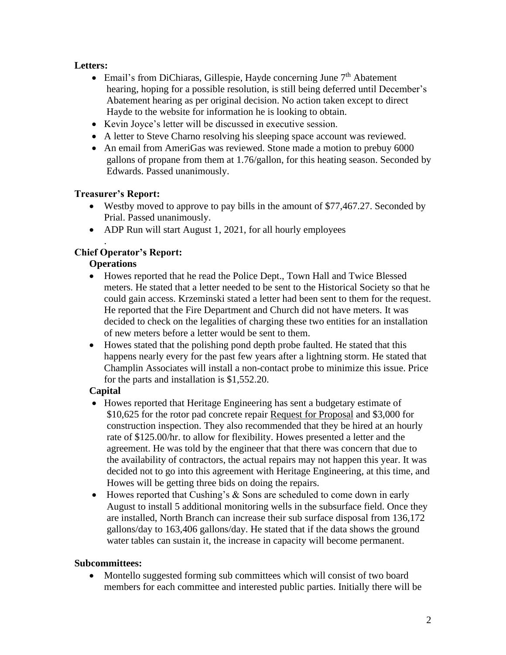# **Letters:**

- Email's from DiChiaras, Gillespie, Hayde concerning June  $7<sup>th</sup>$  Abatement hearing, hoping for a possible resolution, is still being deferred until December's Abatement hearing as per original decision. No action taken except to direct Hayde to the website for information he is looking to obtain.
- Kevin Joyce's letter will be discussed in executive session.
- A letter to Steve Charno resolving his sleeping space account was reviewed.
- An email from AmeriGas was reviewed. Stone made a motion to prebuy 6000 gallons of propane from them at 1.76/gallon, for this heating season. Seconded by Edwards. Passed unanimously.

# **Treasurer's Report:**

- Westby moved to approve to pay bills in the amount of \$77,467.27. Seconded by Prial. Passed unanimously.
- ADP Run will start August 1, 2021, for all hourly employees

#### . **Chief Operator's Report:**

# **Operations**

- Howes reported that he read the Police Dept., Town Hall and Twice Blessed meters. He stated that a letter needed to be sent to the Historical Society so that he could gain access. Krzeminski stated a letter had been sent to them for the request. He reported that the Fire Department and Church did not have meters. It was decided to check on the legalities of charging these two entities for an installation of new meters before a letter would be sent to them.
- Howes stated that the polishing pond depth probe faulted. He stated that this happens nearly every for the past few years after a lightning storm. He stated that Champlin Associates will install a non-contact probe to minimize this issue. Price for the parts and installation is \$1,552.20.

# **Capital**

- Howes reported that Heritage Engineering has sent a budgetary estimate of \$10,625 for the rotor pad concrete repair Request for Proposal and \$3,000 for construction inspection. They also recommended that they be hired at an hourly rate of \$125.00/hr. to allow for flexibility. Howes presented a letter and the agreement. He was told by the engineer that that there was concern that due to the availability of contractors, the actual repairs may not happen this year. It was decided not to go into this agreement with Heritage Engineering, at this time, and Howes will be getting three bids on doing the repairs.
- Howes reported that Cushing's & Sons are scheduled to come down in early August to install 5 additional monitoring wells in the subsurface field. Once they are installed, North Branch can increase their sub surface disposal from 136,172 gallons/day to 163,406 gallons/day. He stated that if the data shows the ground water tables can sustain it, the increase in capacity will become permanent.

## **Subcommittees:**

• Montello suggested forming sub committees which will consist of two board members for each committee and interested public parties. Initially there will be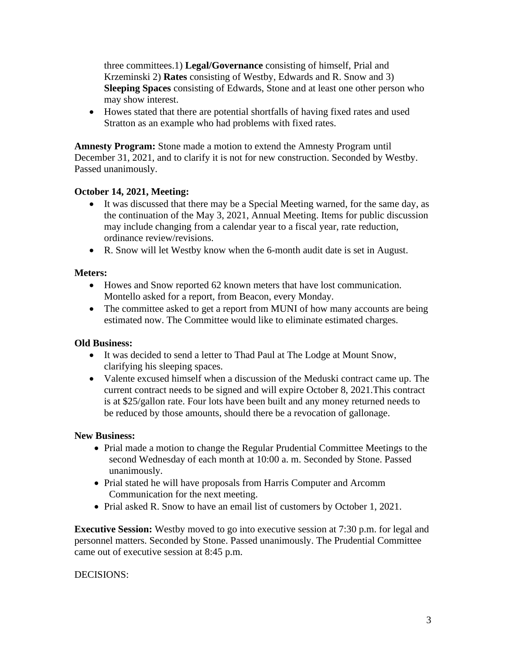three committees.1) **Legal/Governance** consisting of himself, Prial and Krzeminski 2) **Rates** consisting of Westby, Edwards and R. Snow and 3) **Sleeping Spaces** consisting of Edwards, Stone and at least one other person who may show interest.

• Howes stated that there are potential shortfalls of having fixed rates and used Stratton as an example who had problems with fixed rates.

**Amnesty Program:** Stone made a motion to extend the Amnesty Program until December 31, 2021, and to clarify it is not for new construction. Seconded by Westby. Passed unanimously.

## **October 14, 2021, Meeting:**

- It was discussed that there may be a Special Meeting warned, for the same day, as the continuation of the May 3, 2021, Annual Meeting. Items for public discussion may include changing from a calendar year to a fiscal year, rate reduction, ordinance review/revisions.
- R. Snow will let Westby know when the 6-month audit date is set in August.

### **Meters:**

- Howes and Snow reported 62 known meters that have lost communication. Montello asked for a report, from Beacon, every Monday.
- The committee asked to get a report from MUNI of how many accounts are being estimated now. The Committee would like to eliminate estimated charges.

## **Old Business:**

- It was decided to send a letter to Thad Paul at The Lodge at Mount Snow, clarifying his sleeping spaces.
- Valente excused himself when a discussion of the Meduski contract came up. The current contract needs to be signed and will expire October 8, 2021.This contract is at \$25/gallon rate. Four lots have been built and any money returned needs to be reduced by those amounts, should there be a revocation of gallonage.

## **New Business:**

- Prial made a motion to change the Regular Prudential Committee Meetings to the second Wednesday of each month at 10:00 a. m. Seconded by Stone. Passed unanimously.
- Prial stated he will have proposals from Harris Computer and Arcomm Communication for the next meeting.
- Prial asked R. Snow to have an email list of customers by October 1, 2021.

**Executive Session:** Westby moved to go into executive session at 7:30 p.m. for legal and personnel matters. Seconded by Stone. Passed unanimously. The Prudential Committee came out of executive session at 8:45 p.m.

#### DECISIONS: